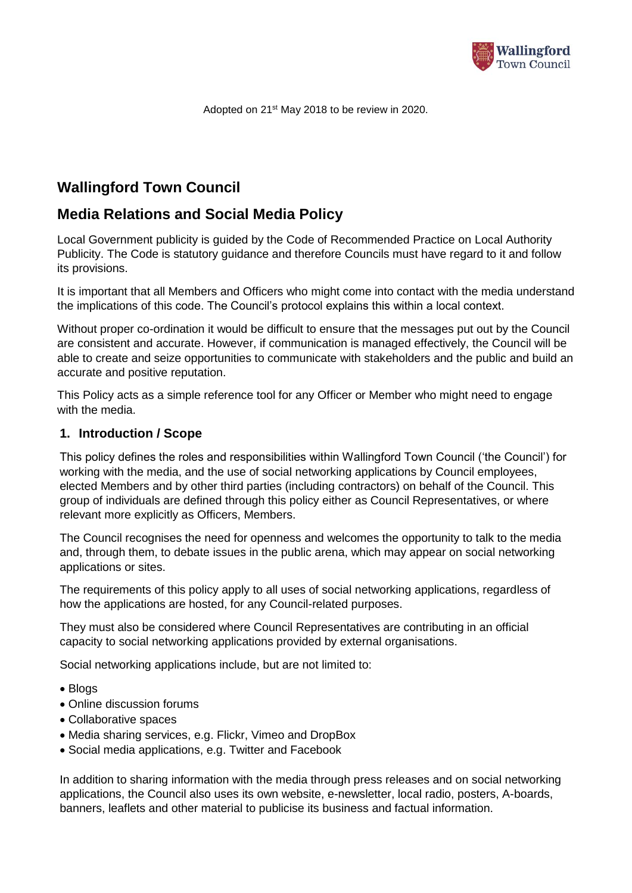

Adopted on 21st May 2018 to be review in 2020.

# **Wallingford Town Council**

# **Media Relations and Social Media Policy**

Local Government publicity is guided by the Code of Recommended Practice on Local Authority Publicity. The Code is statutory guidance and therefore Councils must have regard to it and follow its provisions.

It is important that all Members and Officers who might come into contact with the media understand the implications of this code. The Council's protocol explains this within a local context.

Without proper co-ordination it would be difficult to ensure that the messages put out by the Council are consistent and accurate. However, if communication is managed effectively, the Council will be able to create and seize opportunities to communicate with stakeholders and the public and build an accurate and positive reputation.

This Policy acts as a simple reference tool for any Officer or Member who might need to engage with the media.

## **1. Introduction / Scope**

This policy defines the roles and responsibilities within Wallingford Town Council ('the Council') for working with the media, and the use of social networking applications by Council employees, elected Members and by other third parties (including contractors) on behalf of the Council. This group of individuals are defined through this policy either as Council Representatives, or where relevant more explicitly as Officers, Members.

The Council recognises the need for openness and welcomes the opportunity to talk to the media and, through them, to debate issues in the public arena, which may appear on social networking applications or sites.

The requirements of this policy apply to all uses of social networking applications, regardless of how the applications are hosted, for any Council-related purposes.

They must also be considered where Council Representatives are contributing in an official capacity to social networking applications provided by external organisations.

Social networking applications include, but are not limited to:

- Blogs
- Online discussion forums
- Collaborative spaces
- Media sharing services, e.g. Flickr, Vimeo and DropBox
- Social media applications, e.g. Twitter and Facebook

In addition to sharing information with the media through press releases and on social networking applications, the Council also uses its own website, e-newsletter, local radio, posters, A-boards, banners, leaflets and other material to publicise its business and factual information.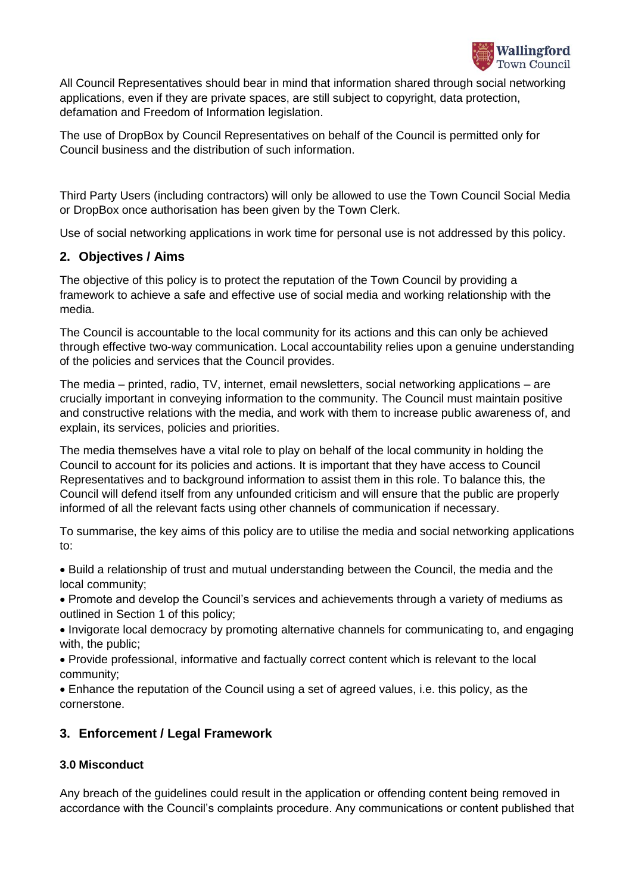

All Council Representatives should bear in mind that information shared through social networking applications, even if they are private spaces, are still subject to copyright, data protection, defamation and Freedom of Information legislation.

The use of DropBox by Council Representatives on behalf of the Council is permitted only for Council business and the distribution of such information.

Third Party Users (including contractors) will only be allowed to use the Town Council Social Media or DropBox once authorisation has been given by the Town Clerk.

Use of social networking applications in work time for personal use is not addressed by this policy.

# **2. Objectives / Aims**

The objective of this policy is to protect the reputation of the Town Council by providing a framework to achieve a safe and effective use of social media and working relationship with the media.

The Council is accountable to the local community for its actions and this can only be achieved through effective two-way communication. Local accountability relies upon a genuine understanding of the policies and services that the Council provides.

The media – printed, radio, TV, internet, email newsletters, social networking applications – are crucially important in conveying information to the community. The Council must maintain positive and constructive relations with the media, and work with them to increase public awareness of, and explain, its services, policies and priorities.

The media themselves have a vital role to play on behalf of the local community in holding the Council to account for its policies and actions. It is important that they have access to Council Representatives and to background information to assist them in this role. To balance this, the Council will defend itself from any unfounded criticism and will ensure that the public are properly informed of all the relevant facts using other channels of communication if necessary.

To summarise, the key aims of this policy are to utilise the media and social networking applications to:

• Build a relationship of trust and mutual understanding between the Council, the media and the local community;

• Promote and develop the Council's services and achievements through a variety of mediums as outlined in Section 1 of this policy;

• Invigorate local democracy by promoting alternative channels for communicating to, and engaging with, the public;

• Provide professional, informative and factually correct content which is relevant to the local community;

• Enhance the reputation of the Council using a set of agreed values, i.e. this policy, as the cornerstone.

# **3. Enforcement / Legal Framework**

# **3.0 Misconduct**

Any breach of the guidelines could result in the application or offending content being removed in accordance with the Council's complaints procedure. Any communications or content published that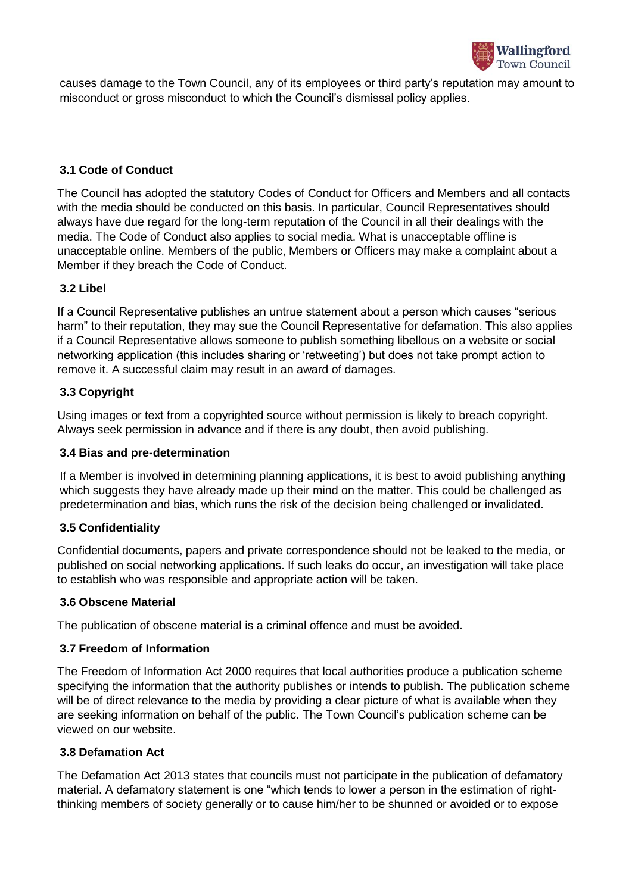

causes damage to the Town Council, any of its employees or third party's reputation may amount to misconduct or gross misconduct to which the Council's dismissal policy applies.

# **3.1 Code of Conduct**

The Council has adopted the statutory Codes of Conduct for Officers and Members and all contacts with the media should be conducted on this basis. In particular, Council Representatives should always have due regard for the long-term reputation of the Council in all their dealings with the media. The Code of Conduct also applies to social media. What is unacceptable offline is unacceptable online. Members of the public, Members or Officers may make a complaint about a Member if they breach the Code of Conduct.

## **3.2 Libel**

If a Council Representative publishes an untrue statement about a person which causes "serious harm" to their reputation, they may sue the Council Representative for defamation. This also applies if a Council Representative allows someone to publish something libellous on a website or social networking application (this includes sharing or 'retweeting') but does not take prompt action to remove it. A successful claim may result in an award of damages.

## **3.3 Copyright**

Using images or text from a copyrighted source without permission is likely to breach copyright. Always seek permission in advance and if there is any doubt, then avoid publishing.

## **3.4 Bias and pre-determination**

If a Member is involved in determining planning applications, it is best to avoid publishing anything which suggests they have already made up their mind on the matter. This could be challenged as predetermination and bias, which runs the risk of the decision being challenged or invalidated.

## **3.5 Confidentiality**

Confidential documents, papers and private correspondence should not be leaked to the media, or published on social networking applications. If such leaks do occur, an investigation will take place to establish who was responsible and appropriate action will be taken.

## **3.6 Obscene Material**

The publication of obscene material is a criminal offence and must be avoided.

## **3.7 Freedom of Information**

The Freedom of Information Act 2000 requires that local authorities produce a publication scheme specifying the information that the authority publishes or intends to publish. The publication scheme will be of direct relevance to the media by providing a clear picture of what is available when they are seeking information on behalf of the public. The Town Council's publication scheme can be viewed on our website.

## **3.8 Defamation Act**

The Defamation Act 2013 states that councils must not participate in the publication of defamatory material. A defamatory statement is one "which tends to lower a person in the estimation of rightthinking members of society generally or to cause him/her to be shunned or avoided or to expose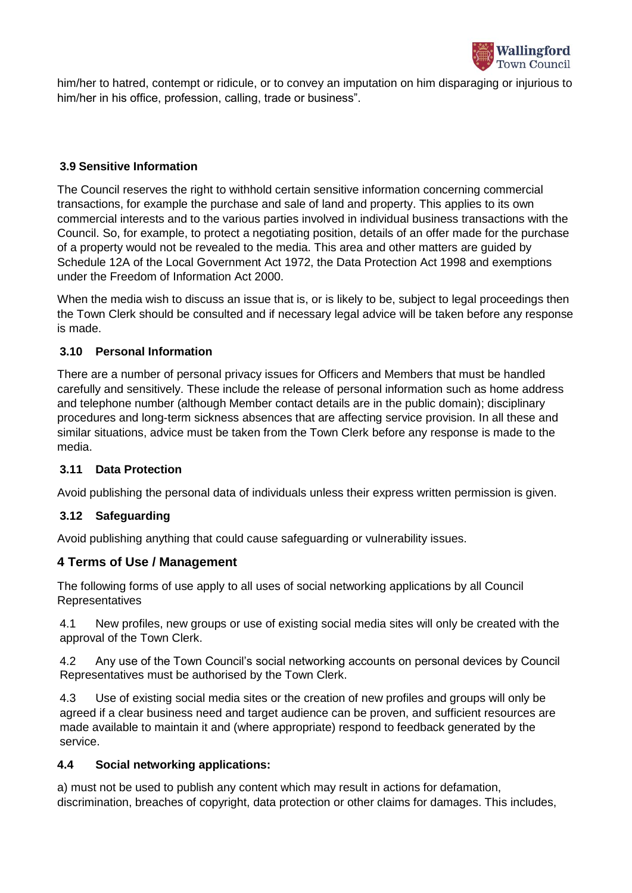

him/her to hatred, contempt or ridicule, or to convey an imputation on him disparaging or injurious to him/her in his office, profession, calling, trade or business".

## **3.9 Sensitive Information**

The Council reserves the right to withhold certain sensitive information concerning commercial transactions, for example the purchase and sale of land and property. This applies to its own commercial interests and to the various parties involved in individual business transactions with the Council. So, for example, to protect a negotiating position, details of an offer made for the purchase of a property would not be revealed to the media. This area and other matters are guided by Schedule 12A of the Local Government Act 1972, the Data Protection Act 1998 and exemptions under the Freedom of Information Act 2000.

When the media wish to discuss an issue that is, or is likely to be, subject to legal proceedings then the Town Clerk should be consulted and if necessary legal advice will be taken before any response is made.

## **3.10 Personal Information**

There are a number of personal privacy issues for Officers and Members that must be handled carefully and sensitively. These include the release of personal information such as home address and telephone number (although Member contact details are in the public domain); disciplinary procedures and long-term sickness absences that are affecting service provision. In all these and similar situations, advice must be taken from the Town Clerk before any response is made to the media.

## **3.11 Data Protection**

Avoid publishing the personal data of individuals unless their express written permission is given.

## **3.12 Safeguarding**

Avoid publishing anything that could cause safeguarding or vulnerability issues.

# **4 Terms of Use / Management**

The following forms of use apply to all uses of social networking applications by all Council Representatives

4.1 New profiles, new groups or use of existing social media sites will only be created with the approval of the Town Clerk.

4.2 Any use of the Town Council's social networking accounts on personal devices by Council Representatives must be authorised by the Town Clerk.

4.3 Use of existing social media sites or the creation of new profiles and groups will only be agreed if a clear business need and target audience can be proven, and sufficient resources are made available to maintain it and (where appropriate) respond to feedback generated by the service.

## **4.4 Social networking applications:**

a) must not be used to publish any content which may result in actions for defamation, discrimination, breaches of copyright, data protection or other claims for damages. This includes,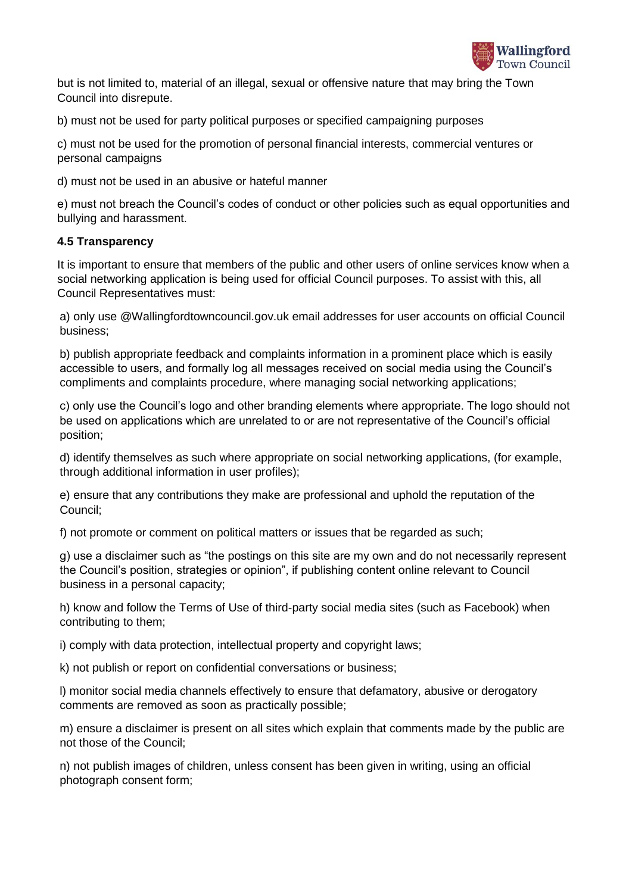

but is not limited to, material of an illegal, sexual or offensive nature that may bring the Town Council into disrepute.

b) must not be used for party political purposes or specified campaigning purposes

c) must not be used for the promotion of personal financial interests, commercial ventures or personal campaigns

d) must not be used in an abusive or hateful manner

e) must not breach the Council's codes of conduct or other policies such as equal opportunities and bullying and harassment.

## **4.5 Transparency**

It is important to ensure that members of the public and other users of online services know when a social networking application is being used for official Council purposes. To assist with this, all Council Representatives must:

a) only use @Wallingfordtowncouncil.gov.uk email addresses for user accounts on official Council business;

b) publish appropriate feedback and complaints information in a prominent place which is easily accessible to users, and formally log all messages received on social media using the Council's compliments and complaints procedure, where managing social networking applications;

c) only use the Council's logo and other branding elements where appropriate. The logo should not be used on applications which are unrelated to or are not representative of the Council's official position;

d) identify themselves as such where appropriate on social networking applications, (for example, through additional information in user profiles);

e) ensure that any contributions they make are professional and uphold the reputation of the Council;

f) not promote or comment on political matters or issues that be regarded as such;

g) use a disclaimer such as "the postings on this site are my own and do not necessarily represent the Council's position, strategies or opinion", if publishing content online relevant to Council business in a personal capacity;

h) know and follow the Terms of Use of third-party social media sites (such as Facebook) when contributing to them;

i) comply with data protection, intellectual property and copyright laws;

k) not publish or report on confidential conversations or business;

l) monitor social media channels effectively to ensure that defamatory, abusive or derogatory comments are removed as soon as practically possible;

m) ensure a disclaimer is present on all sites which explain that comments made by the public are not those of the Council;

n) not publish images of children, unless consent has been given in writing, using an official photograph consent form;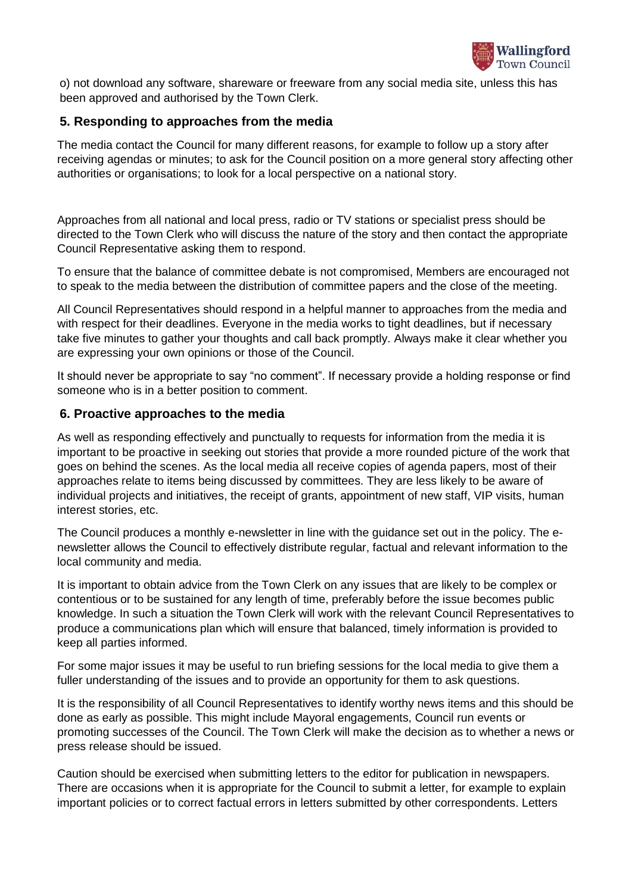

o) not download any software, shareware or freeware from any social media site, unless this has been approved and authorised by the Town Clerk.

# **5. Responding to approaches from the media**

The media contact the Council for many different reasons, for example to follow up a story after receiving agendas or minutes; to ask for the Council position on a more general story affecting other authorities or organisations; to look for a local perspective on a national story.

Approaches from all national and local press, radio or TV stations or specialist press should be directed to the Town Clerk who will discuss the nature of the story and then contact the appropriate Council Representative asking them to respond.

To ensure that the balance of committee debate is not compromised, Members are encouraged not to speak to the media between the distribution of committee papers and the close of the meeting.

All Council Representatives should respond in a helpful manner to approaches from the media and with respect for their deadlines. Everyone in the media works to tight deadlines, but if necessary take five minutes to gather your thoughts and call back promptly. Always make it clear whether you are expressing your own opinions or those of the Council.

It should never be appropriate to say "no comment". If necessary provide a holding response or find someone who is in a better position to comment.

#### **6. Proactive approaches to the media**

As well as responding effectively and punctually to requests for information from the media it is important to be proactive in seeking out stories that provide a more rounded picture of the work that goes on behind the scenes. As the local media all receive copies of agenda papers, most of their approaches relate to items being discussed by committees. They are less likely to be aware of individual projects and initiatives, the receipt of grants, appointment of new staff, VIP visits, human interest stories, etc.

The Council produces a monthly e-newsletter in line with the guidance set out in the policy. The enewsletter allows the Council to effectively distribute regular, factual and relevant information to the local community and media.

It is important to obtain advice from the Town Clerk on any issues that are likely to be complex or contentious or to be sustained for any length of time, preferably before the issue becomes public knowledge. In such a situation the Town Clerk will work with the relevant Council Representatives to produce a communications plan which will ensure that balanced, timely information is provided to keep all parties informed.

For some major issues it may be useful to run briefing sessions for the local media to give them a fuller understanding of the issues and to provide an opportunity for them to ask questions.

It is the responsibility of all Council Representatives to identify worthy news items and this should be done as early as possible. This might include Mayoral engagements, Council run events or promoting successes of the Council. The Town Clerk will make the decision as to whether a news or press release should be issued.

Caution should be exercised when submitting letters to the editor for publication in newspapers. There are occasions when it is appropriate for the Council to submit a letter, for example to explain important policies or to correct factual errors in letters submitted by other correspondents. Letters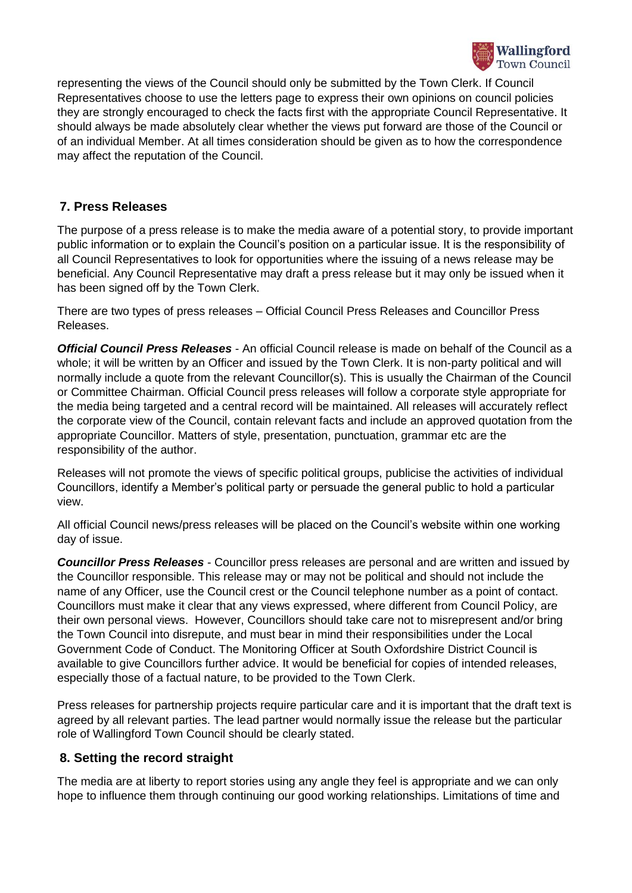

representing the views of the Council should only be submitted by the Town Clerk. If Council Representatives choose to use the letters page to express their own opinions on council policies they are strongly encouraged to check the facts first with the appropriate Council Representative. It should always be made absolutely clear whether the views put forward are those of the Council or of an individual Member. At all times consideration should be given as to how the correspondence may affect the reputation of the Council.

# **7. Press Releases**

The purpose of a press release is to make the media aware of a potential story, to provide important public information or to explain the Council's position on a particular issue. It is the responsibility of all Council Representatives to look for opportunities where the issuing of a news release may be beneficial. Any Council Representative may draft a press release but it may only be issued when it has been signed off by the Town Clerk.

There are two types of press releases – Official Council Press Releases and Councillor Press Releases.

*Official Council Press Releases* - An official Council release is made on behalf of the Council as a whole; it will be written by an Officer and issued by the Town Clerk. It is non-party political and will normally include a quote from the relevant Councillor(s). This is usually the Chairman of the Council or Committee Chairman. Official Council press releases will follow a corporate style appropriate for the media being targeted and a central record will be maintained. All releases will accurately reflect the corporate view of the Council, contain relevant facts and include an approved quotation from the appropriate Councillor. Matters of style, presentation, punctuation, grammar etc are the responsibility of the author.

Releases will not promote the views of specific political groups, publicise the activities of individual Councillors, identify a Member's political party or persuade the general public to hold a particular view.

All official Council news/press releases will be placed on the Council's website within one working day of issue.

*Councillor Press Releases* - Councillor press releases are personal and are written and issued by the Councillor responsible. This release may or may not be political and should not include the name of any Officer, use the Council crest or the Council telephone number as a point of contact. Councillors must make it clear that any views expressed, where different from Council Policy, are their own personal views. However, Councillors should take care not to misrepresent and/or bring the Town Council into disrepute, and must bear in mind their responsibilities under the Local Government Code of Conduct. The Monitoring Officer at South Oxfordshire District Council is available to give Councillors further advice. It would be beneficial for copies of intended releases, especially those of a factual nature, to be provided to the Town Clerk.

Press releases for partnership projects require particular care and it is important that the draft text is agreed by all relevant parties. The lead partner would normally issue the release but the particular role of Wallingford Town Council should be clearly stated.

# **8. Setting the record straight**

The media are at liberty to report stories using any angle they feel is appropriate and we can only hope to influence them through continuing our good working relationships. Limitations of time and